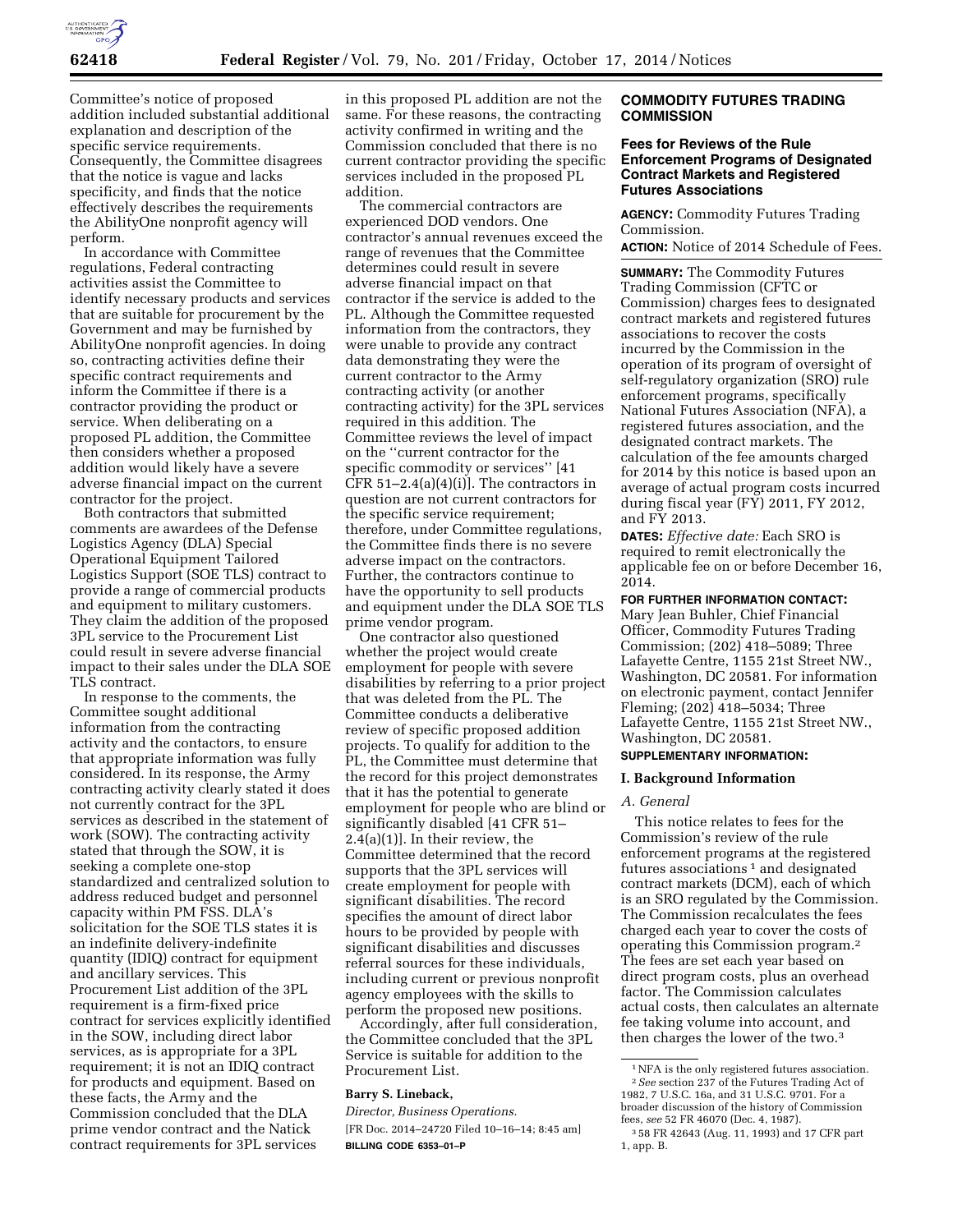

Committee's notice of proposed addition included substantial additional explanation and description of the specific service requirements. Consequently, the Committee disagrees that the notice is vague and lacks specificity, and finds that the notice effectively describes the requirements the AbilityOne nonprofit agency will perform.

In accordance with Committee regulations, Federal contracting activities assist the Committee to identify necessary products and services that are suitable for procurement by the Government and may be furnished by AbilityOne nonprofit agencies. In doing so, contracting activities define their specific contract requirements and inform the Committee if there is a contractor providing the product or service. When deliberating on a proposed PL addition, the Committee then considers whether a proposed addition would likely have a severe adverse financial impact on the current contractor for the project.

Both contractors that submitted comments are awardees of the Defense Logistics Agency (DLA) Special Operational Equipment Tailored Logistics Support (SOE TLS) contract to provide a range of commercial products and equipment to military customers. They claim the addition of the proposed 3PL service to the Procurement List could result in severe adverse financial impact to their sales under the DLA SOE TLS contract.

In response to the comments, the Committee sought additional information from the contracting activity and the contactors, to ensure that appropriate information was fully considered. In its response, the Army contracting activity clearly stated it does not currently contract for the 3PL services as described in the statement of work (SOW). The contracting activity stated that through the SOW, it is seeking a complete one-stop standardized and centralized solution to address reduced budget and personnel capacity within PM FSS. DLA's solicitation for the SOE TLS states it is an indefinite delivery-indefinite quantity (IDIQ) contract for equipment and ancillary services. This Procurement List addition of the 3PL requirement is a firm-fixed price contract for services explicitly identified in the SOW, including direct labor services, as is appropriate for a 3PL requirement; it is not an IDIQ contract for products and equipment. Based on these facts, the Army and the Commission concluded that the DLA prime vendor contract and the Natick contract requirements for 3PL services

in this proposed PL addition are not the same. For these reasons, the contracting activity confirmed in writing and the Commission concluded that there is no current contractor providing the specific services included in the proposed PL addition.

The commercial contractors are experienced DOD vendors. One contractor's annual revenues exceed the range of revenues that the Committee determines could result in severe adverse financial impact on that contractor if the service is added to the PL. Although the Committee requested information from the contractors, they were unable to provide any contract data demonstrating they were the current contractor to the Army contracting activity (or another contracting activity) for the 3PL services required in this addition. The Committee reviews the level of impact on the ''current contractor for the specific commodity or services'' [41 CFR  $51-2.4(a)(4)(i)$ ]. The contractors in question are not current contractors for the specific service requirement; therefore, under Committee regulations, the Committee finds there is no severe adverse impact on the contractors. Further, the contractors continue to have the opportunity to sell products and equipment under the DLA SOE TLS prime vendor program.

One contractor also questioned whether the project would create employment for people with severe disabilities by referring to a prior project that was deleted from the PL. The Committee conducts a deliberative review of specific proposed addition projects. To qualify for addition to the PL, the Committee must determine that the record for this project demonstrates that it has the potential to generate employment for people who are blind or significantly disabled [41 CFR 51–  $2.\overline{4}(a)(1)$ . In their review, the Committee determined that the record supports that the 3PL services will create employment for people with significant disabilities. The record specifies the amount of direct labor hours to be provided by people with significant disabilities and discusses referral sources for these individuals, including current or previous nonprofit agency employees with the skills to perform the proposed new positions.

Accordingly, after full consideration, the Committee concluded that the 3PL Service is suitable for addition to the Procurement List.

### **Barry S. Lineback,**

*Director, Business Operations.*  [FR Doc. 2014–24720 Filed 10–16–14; 8:45 am] **BILLING CODE 6353–01–P** 

# **COMMODITY FUTURES TRADING COMMISSION**

# **Fees for Reviews of the Rule Enforcement Programs of Designated Contract Markets and Registered Futures Associations**

**AGENCY:** Commodity Futures Trading Commission.

**ACTION:** Notice of 2014 Schedule of Fees.

**SUMMARY:** The Commodity Futures Trading Commission (CFTC or Commission) charges fees to designated contract markets and registered futures associations to recover the costs incurred by the Commission in the operation of its program of oversight of self-regulatory organization (SRO) rule enforcement programs, specifically National Futures Association (NFA), a registered futures association, and the designated contract markets. The calculation of the fee amounts charged for 2014 by this notice is based upon an average of actual program costs incurred during fiscal year (FY) 2011, FY 2012, and FY 2013.

**DATES:** *Effective date:* Each SRO is required to remit electronically the applicable fee on or before December 16, 2014.

# **FOR FURTHER INFORMATION CONTACT:**

Mary Jean Buhler, Chief Financial Officer, Commodity Futures Trading Commission; (202) 418–5089; Three Lafayette Centre, 1155 21st Street NW., Washington, DC 20581. For information on electronic payment, contact Jennifer Fleming; (202) 418–5034; Three Lafayette Centre, 1155 21st Street NW., Washington, DC 20581.

# **SUPPLEMENTARY INFORMATION:**

## **I. Background Information**

#### *A. General*

This notice relates to fees for the Commission's review of the rule enforcement programs at the registered futures associations<sup>1</sup> and designated contract markets (DCM), each of which is an SRO regulated by the Commission. The Commission recalculates the fees charged each year to cover the costs of operating this Commission program.2 The fees are set each year based on direct program costs, plus an overhead factor. The Commission calculates actual costs, then calculates an alternate fee taking volume into account, and then charges the lower of the two.3

<sup>1</sup>NFA is the only registered futures association. 2*See* section 237 of the Futures Trading Act of 1982, 7 U.S.C. 16a, and 31 U.S.C. 9701. For a broader discussion of the history of Commission fees, *see* 52 FR 46070 (Dec. 4, 1987).

<sup>3</sup> 58 FR 42643 (Aug. 11, 1993) and 17 CFR part 1, app. B.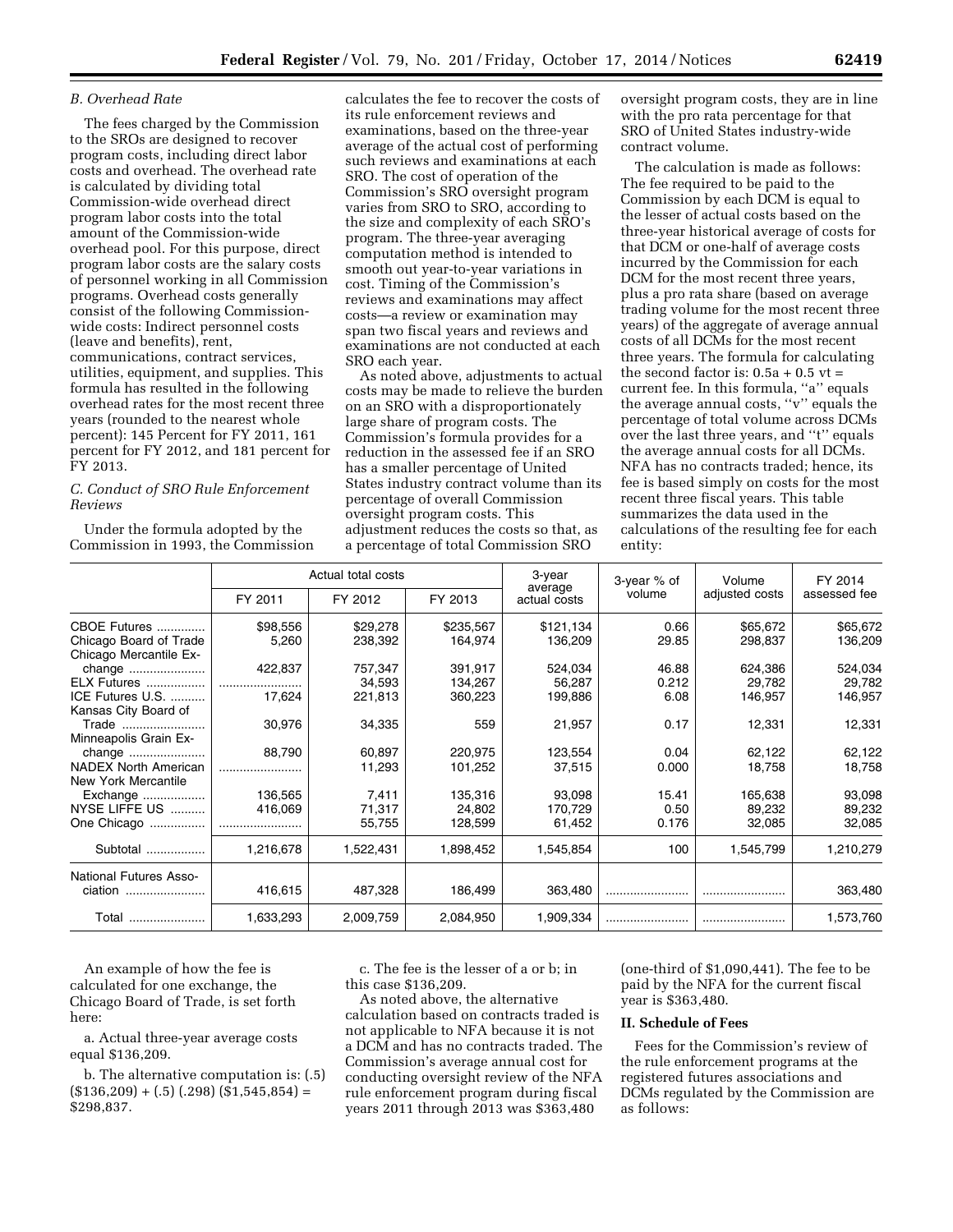## *B. Overhead Rate*

The fees charged by the Commission to the SROs are designed to recover program costs, including direct labor costs and overhead. The overhead rate is calculated by dividing total Commission-wide overhead direct program labor costs into the total amount of the Commission-wide overhead pool. For this purpose, direct program labor costs are the salary costs of personnel working in all Commission programs. Overhead costs generally consist of the following Commissionwide costs: Indirect personnel costs (leave and benefits), rent, communications, contract services, utilities, equipment, and supplies. This formula has resulted in the following overhead rates for the most recent three years (rounded to the nearest whole percent): 145 Percent for FY 2011, 161 percent for FY 2012, and 181 percent for FY 2013.

# *C. Conduct of SRO Rule Enforcement Reviews*

Under the formula adopted by the Commission in 1993, the Commission

calculates the fee to recover the costs of its rule enforcement reviews and examinations, based on the three-year average of the actual cost of performing such reviews and examinations at each SRO. The cost of operation of the Commission's SRO oversight program varies from SRO to SRO, according to the size and complexity of each SRO's program. The three-year averaging computation method is intended to smooth out year-to-year variations in cost. Timing of the Commission's reviews and examinations may affect costs—a review or examination may span two fiscal years and reviews and examinations are not conducted at each SRO each year.

As noted above, adjustments to actual costs may be made to relieve the burden on an SRO with a disproportionately large share of program costs. The Commission's formula provides for a reduction in the assessed fee if an SRO has a smaller percentage of United States industry contract volume than its percentage of overall Commission oversight program costs. This adjustment reduces the costs so that, as a percentage of total Commission SRO

oversight program costs, they are in line with the pro rata percentage for that SRO of United States industry-wide contract volume.

The calculation is made as follows: The fee required to be paid to the Commission by each DCM is equal to the lesser of actual costs based on the three-year historical average of costs for that DCM or one-half of average costs incurred by the Commission for each DCM for the most recent three years, plus a pro rata share (based on average trading volume for the most recent three years) of the aggregate of average annual costs of all DCMs for the most recent three years. The formula for calculating the second factor is:  $0.5a + 0.5$  vt = current fee. In this formula, "a" equals the average annual costs, ''v'' equals the percentage of total volume across DCMs over the last three years, and ''t'' equals the average annual costs for all DCMs. NFA has no contracts traded; hence, its fee is based simply on costs for the most recent three fiscal years. This table summarizes the data used in the calculations of the resulting fee for each entity:

|                                                  | Actual total costs |           |           | 3-year                  | 3-year % of | Volume         | FY 2014      |
|--------------------------------------------------|--------------------|-----------|-----------|-------------------------|-------------|----------------|--------------|
|                                                  | FY 2011            | FY 2012   | FY 2013   | average<br>actual costs | volume      | adjusted costs | assessed fee |
| CBOE Futures                                     | \$98,556           | \$29,278  | \$235,567 | \$121,134               | 0.66        | \$65,672       | \$65,672     |
| Chicago Board of Trade<br>Chicago Mercantile Ex- | 5,260              | 238,392   | 164,974   | 136,209                 | 29.85       | 298,837        | 136,209      |
| change                                           | 422,837            | 757,347   | 391,917   | 524,034                 | 46.88       | 624,386        | 524,034      |
| <b>ELX Futures </b>                              |                    | 34,593    | 134,267   | 56,287                  | 0.212       | 29,782         | 29,782       |
| ICE Futures U.S.                                 | 17,624             | 221,813   | 360,223   | 199,886                 | 6.08        | 146,957        | 146,957      |
| Kansas City Board of                             |                    |           |           |                         |             |                |              |
| Trade                                            | 30,976             | 34,335    | 559       | 21,957                  | 0.17        | 12,331         | 12,331       |
| Minneapolis Grain Ex-                            |                    |           |           |                         |             |                |              |
| change                                           | 88,790             | 60.897    | 220.975   | 123,554                 | 0.04        | 62,122         | 62,122       |
| <b>NADEX North American</b>                      |                    | 11,293    | 101,252   | 37,515                  | 0.000       | 18,758         | 18,758       |
| New York Mercantile                              |                    |           |           |                         |             |                |              |
| Exchange                                         | 136,565            | 7,411     | 135,316   | 93,098                  | 15.41       | 165,638        | 93,098       |
| NYSE LIFFE US                                    | 416,069            | 71,317    | 24,802    | 170,729                 | 0.50        | 89,232         | 89,232       |
| One Chicago                                      |                    | 55,755    | 128,599   | 61,452                  | 0.176       | 32,085         | 32,085       |
| Subtotal                                         | 1,216,678          | 1,522,431 | 1,898,452 | 1,545,854               | 100         | 1,545,799      | 1,210,279    |
| <b>National Futures Asso-</b>                    |                    |           |           |                         |             |                |              |
| ciation                                          | 416,615            | 487,328   | 186,499   | 363,480                 |             |                | 363,480      |
| Total                                            | 1,633,293          | 2,009,759 | 2,084,950 | 1,909,334               |             |                | 1,573,760    |

An example of how the fee is calculated for one exchange, the Chicago Board of Trade, is set forth here:

a. Actual three-year average costs equal \$136,209.

b. The alternative computation is: (.5)  $($136,209) + (.5) (.298) ($1,545,854) =$ \$298,837.

c. The fee is the lesser of a or b; in this case \$136,209.

As noted above, the alternative calculation based on contracts traded is not applicable to NFA because it is not a DCM and has no contracts traded. The Commission's average annual cost for conducting oversight review of the NFA rule enforcement program during fiscal years 2011 through 2013 was \$363,480

(one-third of \$1,090,441). The fee to be paid by the NFA for the current fiscal year is \$363,480.

### **II. Schedule of Fees**

Fees for the Commission's review of the rule enforcement programs at the registered futures associations and DCMs regulated by the Commission are as follows: